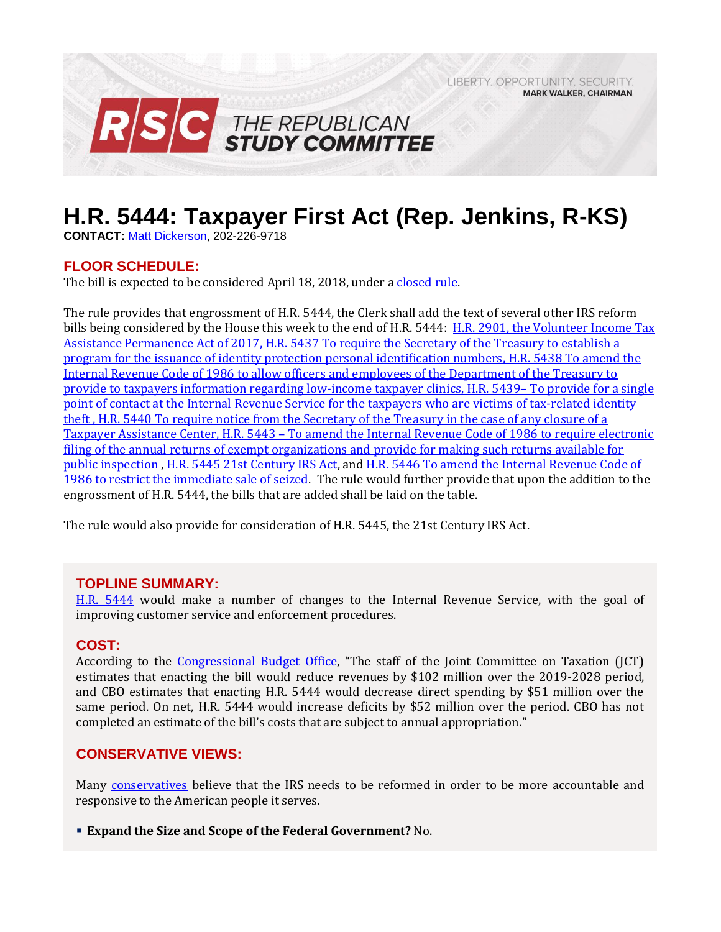LIBERTY, OPPORTUNITY, SECURITY, **MARK WALKER, CHAIRMAN** 



# **H.R. 5444: Taxpayer First Act (Rep. Jenkins, R-KS)**

**CONTACT:** [Matt Dickerson,](mailto:Matthew.Dickerson@mail.house.gov) 202-226-9718

# **FLOOR SCHEDULE:**

The bill is expected to be considered April 18, 2018, under a closed rule.

The rule provides that engrossment of H.R. 5444, the Clerk shall add the text of several other IRS reform bills being considered by the House this week to the end of H.R. 5444: [H.R. 2901, the Volunteer Income Tax](https://gallery.mailchimp.com/d4254037a343b683d142111e0/files/d91a2eaf-3768-4524-b964-de3c0c599a81/RSC_Legislative_Bulletin_IRS_Reform_Suspensions_April_17_2018_FINAL.01.pdf)  Assistance Permanence Act of 2017, H.R. 5437 [To require the Secretary of the Treasury to establish a](https://gallery.mailchimp.com/d4254037a343b683d142111e0/files/d91a2eaf-3768-4524-b964-de3c0c599a81/RSC_Legislative_Bulletin_IRS_Reform_Suspensions_April_17_2018_FINAL.01.pdf)  program for the issuance of [identity protection personal identification numbers, H.R. 5438](https://gallery.mailchimp.com/d4254037a343b683d142111e0/files/d91a2eaf-3768-4524-b964-de3c0c599a81/RSC_Legislative_Bulletin_IRS_Reform_Suspensions_April_17_2018_FINAL.01.pdf) To amend the [Internal Revenue Code of 1986 to allow officers and employees of the](https://gallery.mailchimp.com/d4254037a343b683d142111e0/files/d91a2eaf-3768-4524-b964-de3c0c599a81/RSC_Legislative_Bulletin_IRS_Reform_Suspensions_April_17_2018_FINAL.01.pdf) Department of the Treasury to [provide to taxpayers information regarding low-income taxpayer](https://gallery.mailchimp.com/d4254037a343b683d142111e0/files/d91a2eaf-3768-4524-b964-de3c0c599a81/RSC_Legislative_Bulletin_IRS_Reform_Suspensions_April_17_2018_FINAL.01.pdf) clinics, H.R. 5439– To provide for a single [point of contact at the Internal Revenue Service for the](https://gallery.mailchimp.com/d4254037a343b683d142111e0/files/d91a2eaf-3768-4524-b964-de3c0c599a81/RSC_Legislative_Bulletin_IRS_Reform_Suspensions_April_17_2018_FINAL.01.pdf) taxpayers who are victims of tax-related identity theft , H.R. 5440 [To require notice from the Secretary of the Treasury in the case of any closure of a](https://gallery.mailchimp.com/d4254037a343b683d142111e0/files/d91a2eaf-3768-4524-b964-de3c0c599a81/RSC_Legislative_Bulletin_IRS_Reform_Suspensions_April_17_2018_FINAL.01.pdf) Taxpayer Assistance Center, H.R. 5443 – [To amend the Internal Revenue Code of 1986 to require electronic](https://gallery.mailchimp.com/d4254037a343b683d142111e0/files/d91a2eaf-3768-4524-b964-de3c0c599a81/RSC_Legislative_Bulletin_IRS_Reform_Suspensions_April_17_2018_FINAL.01.pdf)  filing of the annual [returns of exempt organizations and provide for making such returns available for](https://gallery.mailchimp.com/d4254037a343b683d142111e0/files/d91a2eaf-3768-4524-b964-de3c0c599a81/RSC_Legislative_Bulletin_IRS_Reform_Suspensions_April_17_2018_FINAL.01.pdf)  public [inspection](https://gallery.mailchimp.com/d4254037a343b683d142111e0/files/d91a2eaf-3768-4524-b964-de3c0c599a81/RSC_Legislative_Bulletin_IRS_Reform_Suspensions_April_17_2018_FINAL.01.pdf) [, H.R. 5445 21st Century IRS Act,](https://rules.house.gov/bill/115/hr-5445) and [H.R. 5446 To amend the Internal Revenue Code of](https://gallery.mailchimp.com/d4254037a343b683d142111e0/files/d91a2eaf-3768-4524-b964-de3c0c599a81/RSC_Legislative_Bulletin_IRS_Reform_Suspensions_April_17_2018_FINAL.01.pdf)  [1986 to restrict the immediate sale of seized.](https://gallery.mailchimp.com/d4254037a343b683d142111e0/files/d91a2eaf-3768-4524-b964-de3c0c599a81/RSC_Legislative_Bulletin_IRS_Reform_Suspensions_April_17_2018_FINAL.01.pdf) The rule would further provide that upon the addition to the engrossment of H.R. 5444, the bills that are added shall be laid on the table.

The rule would also provide for consideration of H.R. 5445, the 21st Century IRS Act.

#### **TOPLINE SUMMARY:**

[H.R. 5444](http://docs.house.gov/billsthisweek/20180416/BILLS-115hr5444rh.pdf) would make a number of changes to the Internal Revenue Service, with the goal of improving customer service and enforcement procedures.

#### **COST:**

According to the [Congressional Budget Office,](https://www.cbo.gov/system/files/115th-congress-2017-2018/costestimate/hr5444.pdf) "The staff of the Joint Committee on Taxation (JCT) estimates that enacting the bill would reduce revenues by \$102 million over the 2019-2028 period, and CBO estimates that enacting H.R. 5444 would decrease direct spending by \$51 million over the same period. On net, H.R. 5444 would increase deficits by \$52 million over the period. CBO has not completed an estimate of the bill's costs that are subject to annual appropriation."

# **CONSERVATIVE VIEWS:**

Many [conservatives](https://rsc-walker.house.gov/sites/republicanstudycommittee.house.gov/files/Initiatives/SecuringAmericasFutureEconomyRSCFY2018Budget.pdf#page=29) believe that the IRS needs to be reformed in order to be more accountable and responsive to the American people it serves.

**Expand the Size and Scope of the Federal Government?** No.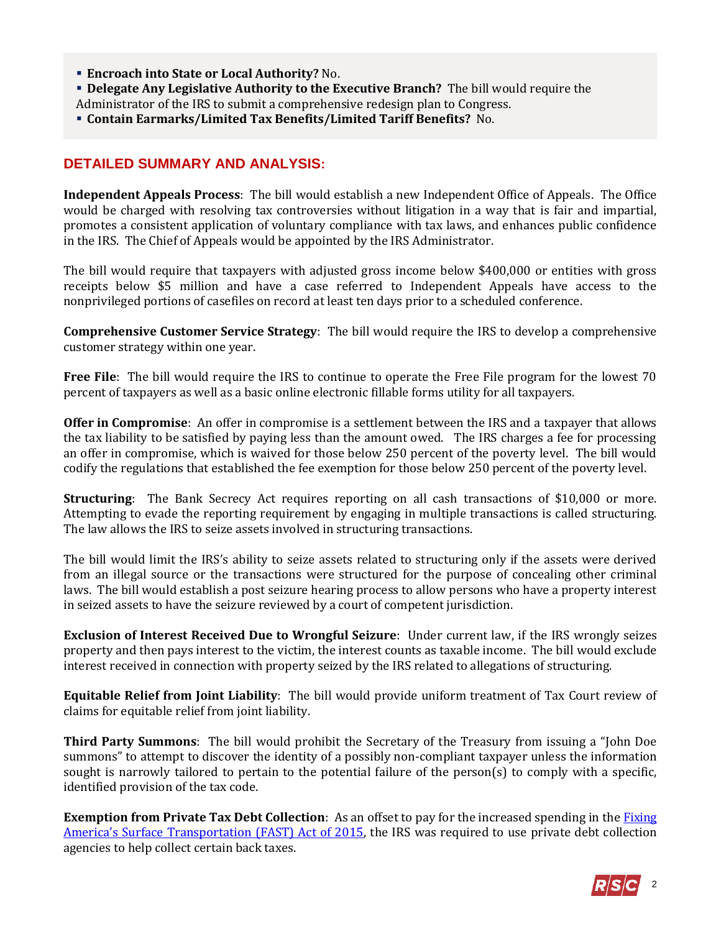- **Encroach into State or Local Authority?** No.
- **Delegate Any Legislative Authority to the Executive Branch?** The bill would require the Administrator of the IRS to submit a comprehensive redesign plan to Congress.
- **Contain Earmarks/Limited Tax Benefits/Limited Tariff Benefits?** No.

# **DETAILED SUMMARY AND ANALYSIS:**

**Independent Appeals Process**: The bill would establish a new Independent Office of Appeals. The Office would be charged with resolving tax controversies without litigation in a way that is fair and impartial, promotes a consistent application of voluntary compliance with tax laws, and enhances public confidence in the IRS. The Chief of Appeals would be appointed by the IRS Administrator.

The bill would require that taxpayers with adjusted gross income below \$400,000 or entities with gross receipts below \$5 million and have a case referred to Independent Appeals have access to the nonprivileged portions of casefiles on record at least ten days prior to a scheduled conference.

**Comprehensive Customer Service Strategy**: The bill would require the IRS to develop a comprehensive customer strategy within one year.

**Free File**: The bill would require the IRS to continue to operate the Free File program for the lowest 70 percent of taxpayers as well as a basic online electronic fillable forms utility for all taxpayers.

**Offer in Compromise**: An offer in compromise is a settlement between the IRS and a taxpayer that allows the tax liability to be satisfied by paying less than the amount owed. The IRS charges a fee for processing an offer in compromise, which is waived for those below 250 percent of the poverty level. The bill would codify the regulations that established the fee exemption for those below 250 percent of the poverty level.

**Structuring**: The Bank Secrecy Act requires reporting on all cash transactions of \$10,000 or more. Attempting to evade the reporting requirement by engaging in multiple transactions is called structuring. The law allows the IRS to seize assets involved in structuring transactions.

The bill would limit the IRS's ability to seize assets related to structuring only if the assets were derived from an illegal source or the transactions were structured for the purpose of concealing other criminal laws. The bill would establish a post seizure hearing process to allow persons who have a property interest in seized assets to have the seizure reviewed by a court of competent jurisdiction.

**Exclusion of Interest Received Due to Wrongful Seizure**: Under current law, if the IRS wrongly seizes property and then pays interest to the victim, the interest counts as taxable income. The bill would exclude interest received in connection with property seized by the IRS related to allegations of structuring.

**Equitable Relief from Joint Liability**: The bill would provide uniform treatment of Tax Court review of claims for equitable relief from joint liability.

**Third Party Summons**: The bill would prohibit the Secretary of the Treasury from issuing a "John Doe summons" to attempt to discover the identity of a possibly non-compliant taxpayer unless the information sought is narrowly tailored to pertain to the potential failure of the person(s) to comply with a specific, identified provision of the tax code.

**Exemption from Private Tax Debt Collection**: As an offset to pay for the increased spending in the [Fixing](https://rsc-walker.house.gov/sites/republicanstudycommittee.house.gov/files/2015LB/RSC_Legislative_Bulletin_HR_22_FAST_Act_Highway_Conference_Report_December_3_2015.pdf)  America's [Surface Transportation \(FAST\) Act of 2015,](https://rsc-walker.house.gov/sites/republicanstudycommittee.house.gov/files/2015LB/RSC_Legislative_Bulletin_HR_22_FAST_Act_Highway_Conference_Report_December_3_2015.pdf) the IRS was required to use private debt collection agencies to help collect certain back taxes.

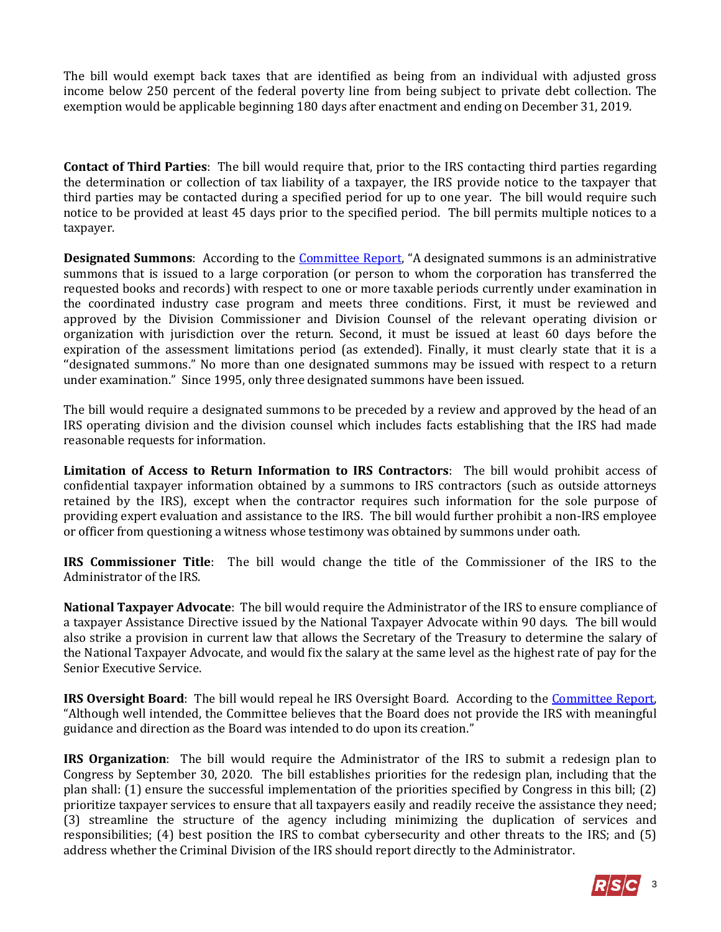The bill would exempt back taxes that are identified as being from an individual with adjusted gross income below 250 percent of the federal poverty line from being subject to private debt collection. The exemption would be applicable beginning 180 days after enactment and ending on December 31, 2019.

**Contact of Third Parties**: The bill would require that, prior to the IRS contacting third parties regarding the determination or collection of tax liability of a taxpayer, the IRS provide notice to the taxpayer that third parties may be contacted during a specified period for up to one year. The bill would require such notice to be provided at least 45 days prior to the specified period. The bill permits multiple notices to a taxpayer.

**Designated Summons:** According to the *Committee Report*, "A designated summons is an administrative summons that is issued to a large corporation (or person to whom the corporation has transferred the requested books and records) with respect to one or more taxable periods currently under examination in the coordinated industry case program and meets three conditions. First, it must be reviewed and approved by the Division Commissioner and Division Counsel of the relevant operating division or organization with jurisdiction over the return. Second, it must be issued at least 60 days before the expiration of the assessment limitations period (as extended). Finally, it must clearly state that it is a ''designated summons." No more than one designated summons may be issued with respect to a return under examination." Since 1995, only three designated summons have been issued.

The bill would require a designated summons to be preceded by a review and approved by the head of an IRS operating division and the division counsel which includes facts establishing that the IRS had made reasonable requests for information.

**Limitation of Access to Return Information to IRS Contractors**: The bill would prohibit access of confidential taxpayer information obtained by a summons to IRS contractors (such as outside attorneys retained by the IRS), except when the contractor requires such information for the sole purpose of providing expert evaluation and assistance to the IRS. The bill would further prohibit a non-IRS employee or officer from questioning a witness whose testimony was obtained by summons under oath.

**IRS Commissioner Title**: The bill would change the title of the Commissioner of the IRS to the Administrator of the IRS.

**National Taxpayer Advocate**: The bill would require the Administrator of the IRS to ensure compliance of a taxpayer Assistance Directive issued by the National Taxpayer Advocate within 90 days. The bill would also strike a provision in current law that allows the Secretary of the Treasury to determine the salary of the National Taxpayer Advocate, and would fix the salary at the same level as the highest rate of pay for the Senior Executive Service.

**IRS Oversight Board**: The bill would repeal he IRS Oversight Board. According to the [Committee Report,](https://rules.house.gov/sites/republicans.rules.house.gov/files/CRPT-115hrpt637pt1.pdf) "Although well intended, the Committee believes that the Board does not provide the IRS with meaningful guidance and direction as the Board was intended to do upon its creation."

**IRS Organization**: The bill would require the Administrator of the IRS to submit a redesign plan to Congress by September 30, 2020. The bill establishes priorities for the redesign plan, including that the plan shall: (1) ensure the successful implementation of the priorities specified by Congress in this bill; (2) prioritize taxpayer services to ensure that all taxpayers easily and readily receive the assistance they need; (3) streamline the structure of the agency including minimizing the duplication of services and responsibilities; (4) best position the IRS to combat cybersecurity and other threats to the IRS; and (5) address whether the Criminal Division of the IRS should report directly to the Administrator.